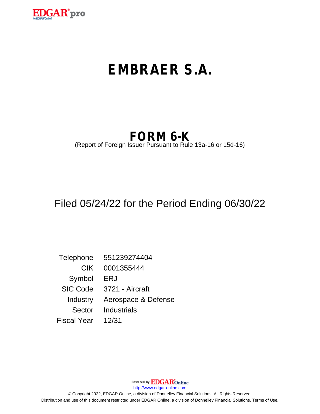

# **EMBRAER S.A.**

## **FORM 6-K**

(Report of Foreign Issuer Pursuant to Rule 13a-16 or 15d-16)

## Filed 05/24/22 for the Period Ending 06/30/22

Telephone 551239274404 CIK 0001355444 Symbol ERJ SIC Code 3721 - Aircraft Industry Aerospace & Defense Sector Industrials Fiscal Year 12/31

http://www.edgar-online.com © Copyright 2022, EDGAR Online, a division of Donnelley Financial Solutions. All Rights Reserved. Distribution and use of this document restricted under EDGAR Online, a division of Donnelley Financial Solutions, Terms of Use.

Powered By **EDGAR**Online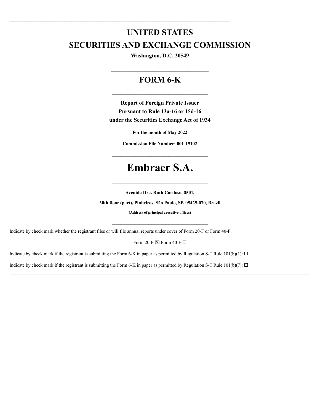### **UNITED STATES SECURITIES AND EXCHANGE COMMISSION**

Washington, D.C. 20549

#### FORM 6-K

**Report of Foreign Private Issuer** Pursuant to Rule 13a-16 or 15d-16 under the Securities Exchange Act of 1934

For the month of May 2022

**Commission File Number: 001-15102** 

### **Embraer S.A.**

Avenida Dra. Ruth Cardoso, 8501,

30th floor (part), Pinheiros, São Paulo, SP, 05425-070, Brazil

(Address of principal executive offices)

Indicate by check mark whether the registrant files or will file annual reports under cover of Form 20-F or Form 40-F:

Form 20-F  $\boxtimes$  Form 40-F  $\Box$ 

Indicate by check mark if the registrant is submitting the Form 6-K in paper as permitted by Regulation S-T Rule 101(b)(1):  $\Box$ 

Indicate by check mark if the registrant is submitting the Form 6-K in paper as permitted by Regulation S-T Rule 101(b)(7):  $\Box$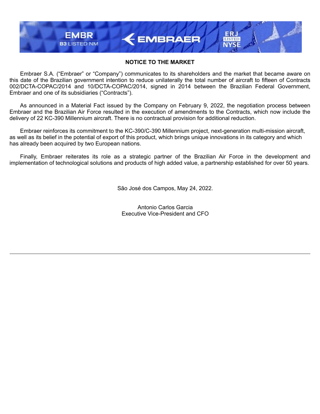#### **NOTICE TO THE MARKET**

 $\leftarrow$  EMBRAER

**LISTED** 

**EMBR** 

**B3 LISTED NM** 

Embraer S.A. ("Embraer" or "Company") communicates to its shareholders and the market that became aware on this date of the Brazilian government intention to reduce unilaterally the total number of aircraft to fifteen of Contracts 002/DCTA-COPAC/2014 and 10/DCTA-COPAC/2014, signed in 2014 between the Brazilian Federal Government, Embraer and one of its subsidiaries ("Contracts").

As announced in a Material Fact issued by the Company on February 9, 2022, the negotiation process between Embraer and the Brazilian Air Force resulted in the execution of amendments to the Contracts, which now include the delivery of 22 KC-390 Millennium aircraft. There is no contractual provision for additional reduction.

Embraer reinforces its commitment to the KC-390/C-390 Millennium project, next-generation multi-mission aircraft, as well as its belief in the potential of export of this product, which brings unique innovations in its category and which has already been acquired by two European nations.

Finally, Embraer reiterates its role as a strategic partner of the Brazilian Air Force in the development and implementation of technological solutions and products of high added value, a partnership established for over 50 years.

São José dos Campos, May 24, 2022.

Antonio Carlos Garcia Executive Vice-President and CFO